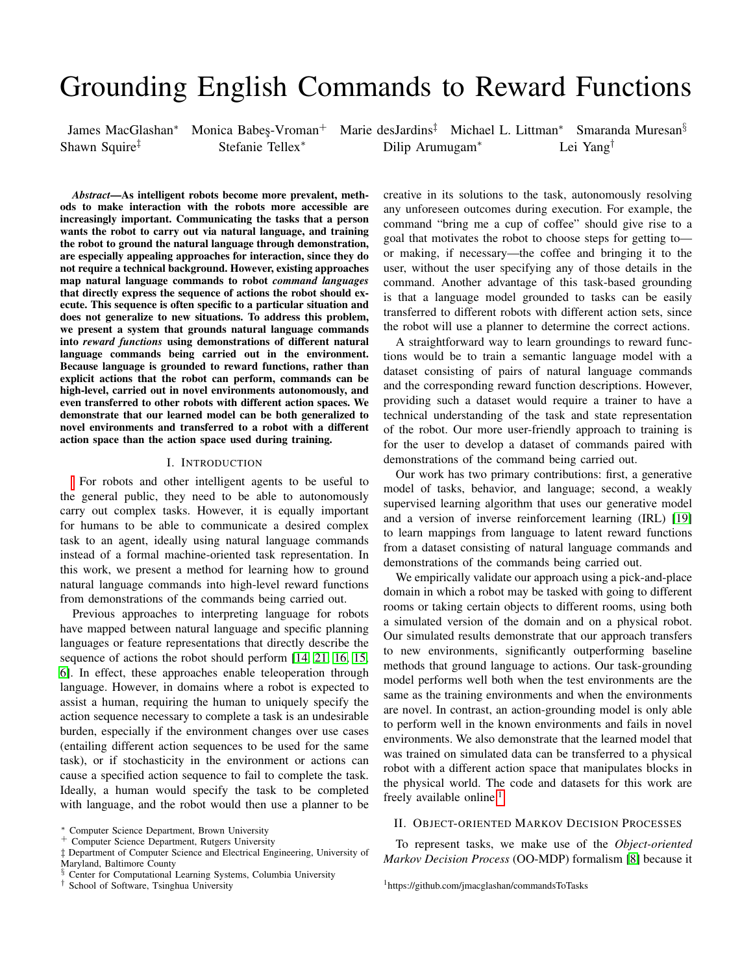# <span id="page-0-0"></span>Grounding English Commands to Reward Functions

Shawn Squire‡ Stefanie Tellex<sup>∗</sup> Dilip Arumugam<sup>∗</sup> Lei Yang†

James MacGlashan<sup>∗</sup> Monica Babes-Vroman<sup>+</sup> Marie desJardins<sup>‡</sup> Michael L. Littman<sup>\*</sup> Smaranda Muresan<sup>§</sup>

*Abstract*—As intelligent robots become more prevalent, methods to make interaction with the robots more accessible are increasingly important. Communicating the tasks that a person wants the robot to carry out via natural language, and training the robot to ground the natural language through demonstration, are especially appealing approaches for interaction, since they do not require a technical background. However, existing approaches map natural language commands to robot *command languages* that directly express the sequence of actions the robot should execute. This sequence is often specific to a particular situation and does not generalize to new situations. To address this problem, we present a system that grounds natural language commands into *reward functions* using demonstrations of different natural language commands being carried out in the environment. Because language is grounded to reward functions, rather than explicit actions that the robot can perform, commands can be high-level, carried out in novel environments autonomously, and even transferred to other robots with different action spaces. We demonstrate that our learned model can be both generalized to novel environments and transferred to a robot with a different action space than the action space used during training.

#### I. INTRODUCTION

For robots and other intelligent agents to be useful to the general public, they need to be able to autonomously carry out complex tasks. However, it is equally important for humans to be able to communicate a desired complex task to an agent, ideally using natural language commands instead of a formal machine-oriented task representation. In this work, we present a method for learning how to ground natural language commands into high-level reward functions from demonstrations of the commands being carried out.

Previous approaches to interpreting language for robots have mapped between natural language and specific planning languages or feature representations that directly describe the sequence of actions the robot should perform [\[14,](#page-8-0) [21,](#page-8-1) [16,](#page-8-2) [15,](#page-8-3) [6\]](#page-8-4). In effect, these approaches enable teleoperation through language. However, in domains where a robot is expected to assist a human, requiring the human to uniquely specify the action sequence necessary to complete a task is an undesirable burden, especially if the environment changes over use cases (entailing different action sequences to be used for the same task), or if stochasticity in the environment or actions can cause a specified action sequence to fail to complete the task. Ideally, a human would specify the task to be completed with language, and the robot would then use a planner to be

‡ Department of Computer Science and Electrical Engineering, University of Maryland, Baltimore County

creative in its solutions to the task, autonomously resolving any unforeseen outcomes during execution. For example, the command "bring me a cup of coffee" should give rise to a goal that motivates the robot to choose steps for getting to or making, if necessary—the coffee and bringing it to the user, without the user specifying any of those details in the command. Another advantage of this task-based grounding is that a language model grounded to tasks can be easily transferred to different robots with different action sets, since the robot will use a planner to determine the correct actions.

A straightforward way to learn groundings to reward functions would be to train a semantic language model with a dataset consisting of pairs of natural language commands and the corresponding reward function descriptions. However, providing such a dataset would require a trainer to have a technical understanding of the task and state representation of the robot. Our more user-friendly approach to training is for the user to develop a dataset of commands paired with demonstrations of the command being carried out.

Our work has two primary contributions: first, a generative model of tasks, behavior, and language; second, a weakly supervised learning algorithm that uses our generative model and a version of inverse reinforcement learning (IRL) [\[19\]](#page-8-5) to learn mappings from language to latent reward functions from a dataset consisting of natural language commands and demonstrations of the commands being carried out.

We empirically validate our approach using a pick-and-place domain in which a robot may be tasked with going to different rooms or taking certain objects to different rooms, using both a simulated version of the domain and on a physical robot. Our simulated results demonstrate that our approach transfers to new environments, significantly outperforming baseline methods that ground language to actions. Our task-grounding model performs well both when the test environments are the same as the training environments and when the environments are novel. In contrast, an action-grounding model is only able to perform well in the known environments and fails in novel environments. We also demonstrate that the learned model that was trained on simulated data can be transferred to a physical robot with a different action space that manipulates blocks in the physical world. The code and datasets for this work are freely available online.<sup>1</sup>

#### II. OBJECT-ORIENTED MARKOV DECISION PROCESSES

To represent tasks, we make use of the *Object-oriented Markov Decision Process* (OO-MDP) formalism [\[8\]](#page-8-6) because it

<sup>∗</sup> Computer Science Department, Brown University

<sup>+</sup> Computer Science Department, Rutgers University

<sup>§</sup> Center for Computational Learning Systems, Columbia University

<sup>†</sup> School of Software, Tsinghua University

<sup>1</sup>https://github.com/jmacglashan/commandsToTasks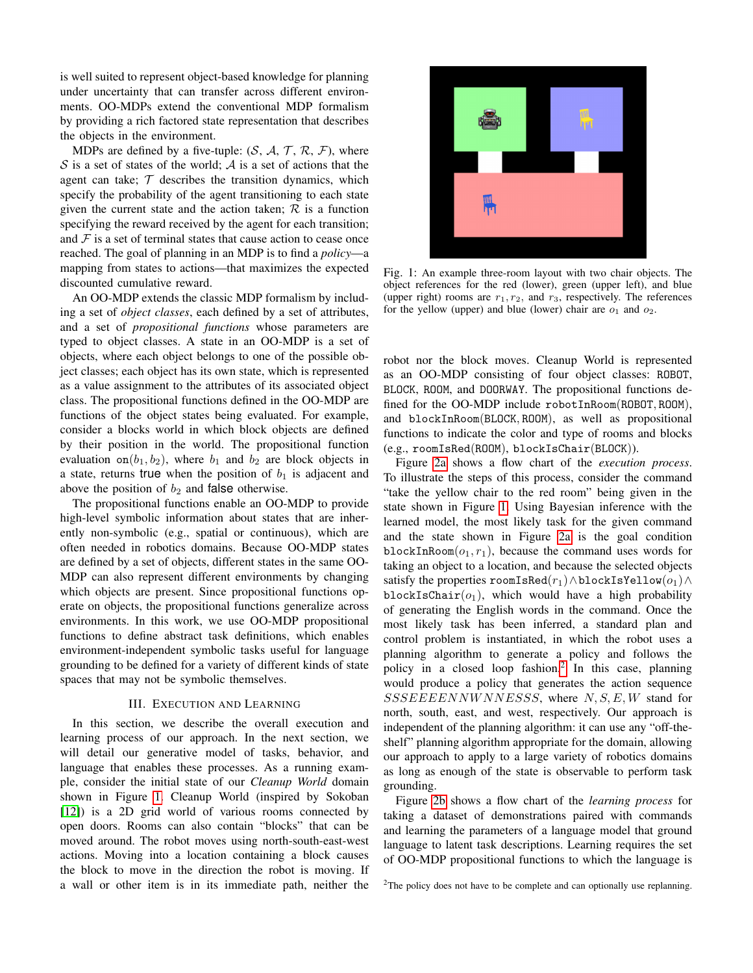is well suited to represent object-based knowledge for planning under uncertainty that can transfer across different environments. OO-MDPs extend the conventional MDP formalism by providing a rich factored state representation that describes the objects in the environment.

MDPs are defined by a five-tuple:  $(S, \mathcal{A}, \mathcal{T}, \mathcal{R}, \mathcal{F})$ , where  $S$  is a set of states of the world;  $A$  is a set of actions that the agent can take;  $T$  describes the transition dynamics, which specify the probability of the agent transitioning to each state given the current state and the action taken;  $R$  is a function specifying the reward received by the agent for each transition; and  $\mathcal F$  is a set of terminal states that cause action to cease once reached. The goal of planning in an MDP is to find a *policy*—a mapping from states to actions—that maximizes the expected discounted cumulative reward.

An OO-MDP extends the classic MDP formalism by including a set of *object classes*, each defined by a set of attributes, and a set of *propositional functions* whose parameters are typed to object classes. A state in an OO-MDP is a set of objects, where each object belongs to one of the possible object classes; each object has its own state, which is represented as a value assignment to the attributes of its associated object class. The propositional functions defined in the OO-MDP are functions of the object states being evaluated. For example, consider a blocks world in which block objects are defined by their position in the world. The propositional function evaluation on $(b_1, b_2)$ , where  $b_1$  and  $b_2$  are block objects in a state, returns true when the position of  $b_1$  is adjacent and above the position of  $b_2$  and false otherwise.

The propositional functions enable an OO-MDP to provide high-level symbolic information about states that are inherently non-symbolic (e.g., spatial or continuous), which are often needed in robotics domains. Because OO-MDP states are defined by a set of objects, different states in the same OO-MDP can also represent different environments by changing which objects are present. Since propositional functions operate on objects, the propositional functions generalize across environments. In this work, we use OO-MDP propositional functions to define abstract task definitions, which enables environment-independent symbolic tasks useful for language grounding to be defined for a variety of different kinds of state spaces that may not be symbolic themselves.

## III. EXECUTION AND LEARNING

<span id="page-1-1"></span>In this section, we describe the overall execution and learning process of our approach. In the next section, we will detail our generative model of tasks, behavior, and language that enables these processes. As a running example, consider the initial state of our *Cleanup World* domain shown in Figure [1.](#page-1-0) Cleanup World (inspired by Sokoban [\[12\]](#page-8-7)) is a 2D grid world of various rooms connected by open doors. Rooms can also contain "blocks" that can be moved around. The robot moves using north-south-east-west actions. Moving into a location containing a block causes the block to move in the direction the robot is moving. If a wall or other item is in its immediate path, neither the

<span id="page-1-0"></span>

Fig. 1: An example three-room layout with two chair objects. The object references for the red (lower), green (upper left), and blue (upper right) rooms are  $r_1, r_2$ , and  $r_3$ , respectively. The references for the yellow (upper) and blue (lower) chair are  $o_1$  and  $o_2$ .

robot nor the block moves. Cleanup World is represented as an OO-MDP consisting of four object classes: ROBOT, BLOCK, ROOM, and DOORWAY. The propositional functions defined for the OO-MDP include robotInRoom(ROBOT, ROOM), and blockInRoom(BLOCK, ROOM), as well as propositional functions to indicate the color and type of rooms and blocks (e.g., roomIsRed(ROOM), blockIsChair(BLOCK)).

Figure [2a](#page-2-0) shows a flow chart of the *execution process*. To illustrate the steps of this process, consider the command "take the yellow chair to the red room" being given in the state shown in Figure [1.](#page-1-0) Using Bayesian inference with the learned model, the most likely task for the given command and the state shown in Figure [2a](#page-2-0) is the goal condition blockInRoom $(o_1, r_1)$ , because the command uses words for taking an object to a location, and because the selected objects satisfy the properties roomIsRed( $r_1$ )∧blockIsYellow( $o_1$ )∧ blockIsChair $(o_1)$ , which would have a high probability of generating the English words in the command. Once the most likely task has been inferred, a standard plan and control problem is instantiated, in which the robot uses a planning algorithm to generate a policy and follows the policy in a closed loop fashion.<sup>[2](#page-0-0)</sup> In this case, planning would produce a policy that generates the action sequence  $SSSEE\ EENNW NNESSS$ , where  $N, S, E, W$  stand for north, south, east, and west, respectively. Our approach is independent of the planning algorithm: it can use any "off-theshelf" planning algorithm appropriate for the domain, allowing our approach to apply to a large variety of robotics domains as long as enough of the state is observable to perform task grounding.

Figure [2b](#page-2-0) shows a flow chart of the *learning process* for taking a dataset of demonstrations paired with commands and learning the parameters of a language model that ground language to latent task descriptions. Learning requires the set of OO-MDP propositional functions to which the language is

<sup>&</sup>lt;sup>2</sup>The policy does not have to be complete and can optionally use replanning.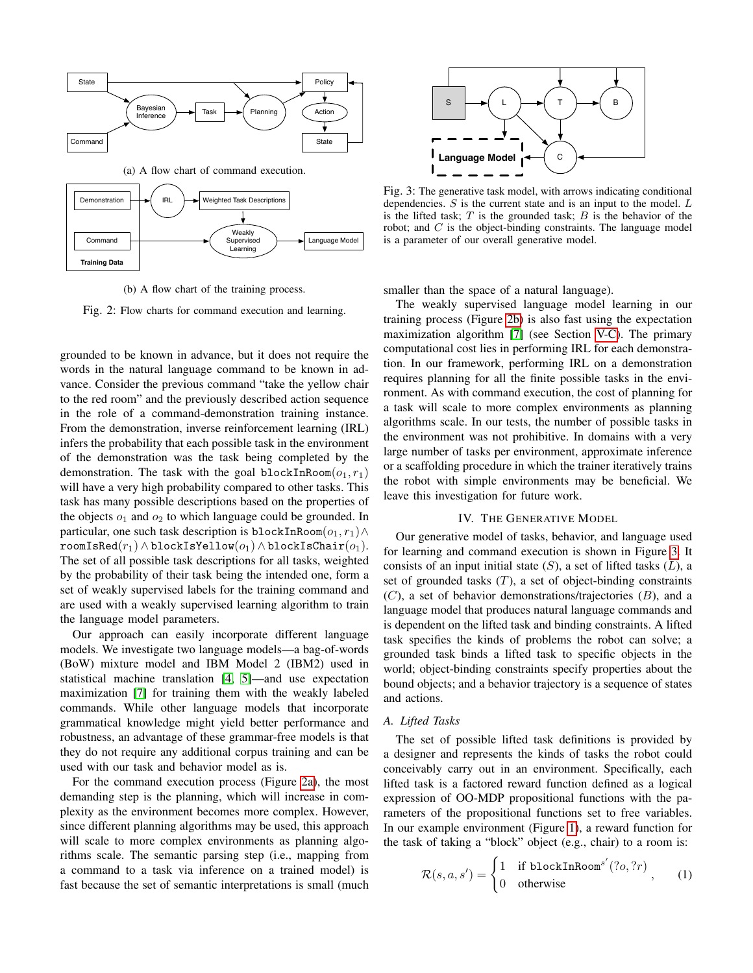<span id="page-2-0"></span>

(b) A flow chart of the training process.

Fig. 2: Flow charts for command execution and learning.

grounded to be known in advance, but it does not require the words in the natural language command to be known in advance. Consider the previous command "take the yellow chair to the red room" and the previously described action sequence in the role of a command-demonstration training instance. From the demonstration, inverse reinforcement learning (IRL) infers the probability that each possible task in the environment of the demonstration was the task being completed by the demonstration. The task with the goal blockInRoom $(o_1, r_1)$ will have a very high probability compared to other tasks. This task has many possible descriptions based on the properties of the objects  $o_1$  and  $o_2$  to which language could be grounded. In particular, one such task description is blockInRoom $(o_1, r_1) \wedge$  $\texttt{roomIsRed}(r_1) \wedge \texttt{blockIsValow}(o_1) \wedge \texttt{blockIsChain}(o_1).$ The set of all possible task descriptions for all tasks, weighted by the probability of their task being the intended one, form a set of weakly supervised labels for the training command and are used with a weakly supervised learning algorithm to train the language model parameters.

Our approach can easily incorporate different language models. We investigate two language models—a bag-of-words (BoW) mixture model and IBM Model 2 (IBM2) used in statistical machine translation [\[4,](#page-8-8) [5\]](#page-8-9)—and use expectation maximization [\[7\]](#page-8-10) for training them with the weakly labeled commands. While other language models that incorporate grammatical knowledge might yield better performance and robustness, an advantage of these grammar-free models is that they do not require any additional corpus training and can be used with our task and behavior model as is.

For the command execution process (Figure [2a\)](#page-2-0), the most demanding step is the planning, which will increase in complexity as the environment becomes more complex. However, since different planning algorithms may be used, this approach will scale to more complex environments as planning algorithms scale. The semantic parsing step (i.e., mapping from a command to a task via inference on a trained model) is fast because the set of semantic interpretations is small (much

<span id="page-2-1"></span>

Fig. 3: The generative task model, with arrows indicating conditional dependencies.  $S$  is the current state and is an input to the model.  $L$ is the lifted task;  $T$  is the grounded task;  $B$  is the behavior of the robot; and  $C$  is the object-binding constraints. The language model is a parameter of our overall generative model.

smaller than the space of a natural language).

The weakly supervised language model learning in our training process (Figure [2b\)](#page-2-0) is also fast using the expectation maximization algorithm [\[7\]](#page-8-10) (see Section [V-C\)](#page-4-0). The primary computational cost lies in performing IRL for each demonstration. In our framework, performing IRL on a demonstration requires planning for all the finite possible tasks in the environment. As with command execution, the cost of planning for a task will scale to more complex environments as planning algorithms scale. In our tests, the number of possible tasks in the environment was not prohibitive. In domains with a very large number of tasks per environment, approximate inference or a scaffolding procedure in which the trainer iteratively trains the robot with simple environments may be beneficial. We leave this investigation for future work.

## IV. THE GENERATIVE MODEL

Our generative model of tasks, behavior, and language used for learning and command execution is shown in Figure [3.](#page-2-1) It consists of an input initial state  $(S)$ , a set of lifted tasks  $(L)$ , a set of grounded tasks  $(T)$ , a set of object-binding constraints  $(C)$ , a set of behavior demonstrations/trajectories  $(B)$ , and a language model that produces natural language commands and is dependent on the lifted task and binding constraints. A lifted task specifies the kinds of problems the robot can solve; a grounded task binds a lifted task to specific objects in the world; object-binding constraints specify properties about the bound objects; and a behavior trajectory is a sequence of states and actions.

# *A. Lifted Tasks*

The set of possible lifted task definitions is provided by a designer and represents the kinds of tasks the robot could conceivably carry out in an environment. Specifically, each lifted task is a factored reward function defined as a logical expression of OO-MDP propositional functions with the parameters of the propositional functions set to free variables. In our example environment (Figure [1\)](#page-1-0), a reward function for the task of taking a "block" object (e.g., chair) to a room is:

<span id="page-2-2"></span>
$$
\mathcal{R}(s, a, s') = \begin{cases} 1 & \text{if blockInRoom}^{s'}(?o, ?r) \\ 0 & \text{otherwise} \end{cases}, \qquad (1)
$$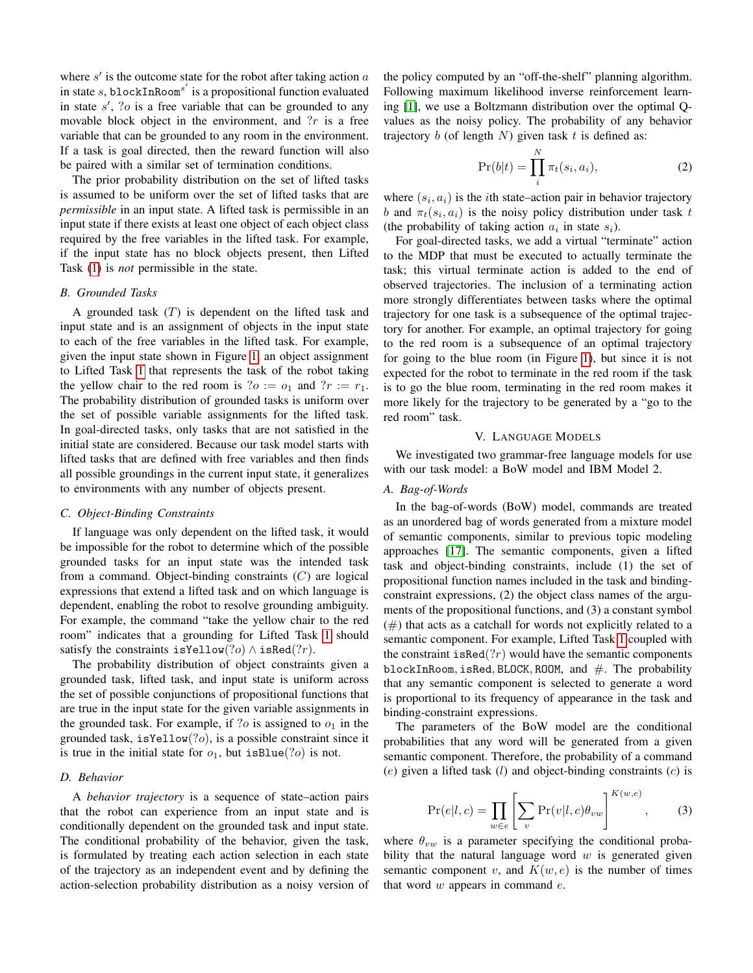where  $s'$  is the outcome state for the robot after taking action  $a$ in state s, blockInRoom<sup>s'</sup> is a propositional function evaluated in state  $s'$ , ?o is a free variable that can be grounded to any movable block object in the environment, and  $?r$  is a free variable that can be grounded to any room in the environment. If a task is goal directed, then the reward function will also be paired with a similar set of termination conditions.

The prior probability distribution on the set of lifted tasks is assumed to be uniform over the set of lifted tasks that are *permissible* in an input state. A lifted task is permissible in an input state if there exists at least one object of each object class required by the free variables in the lifted task. For example, if the input state has no block objects present, then Lifted Task [\(1\)](#page-2-2) is *not* permissible in the state.

#### *B. Grounded Tasks*

A grounded task  $(T)$  is dependent on the lifted task and input state and is an assignment of objects in the input state to each of the free variables in the lifted task. For example, given the input state shown in Figure [1,](#page-1-0) an object assignment to Lifted Task [1](#page-2-2) that represents the task of the robot taking the yellow chair to the red room is ? $o := o_1$  and ? $r := r_1$ . The probability distribution of grounded tasks is uniform over the set of possible variable assignments for the lifted task. In goal-directed tasks, only tasks that are not satisfied in the initial state are considered. Because our task model starts with lifted tasks that are defined with free variables and then finds all possible groundings in the current input state, it generalizes to environments with any number of objects present.

## *C. Object-Binding Constraints*

If language was only dependent on the lifted task, it would be impossible for the robot to determine which of the possible grounded tasks for an input state was the intended task from a command. Object-binding constraints  $(C)$  are logical expressions that extend a lifted task and on which language is dependent, enabling the robot to resolve grounding ambiguity. For example, the command "take the yellow chair to the red room" indicates that a grounding for Lifted Task [1](#page-2-2) should satisfy the constraints isYellow(?o)  $\land$  isRed(?r).

The probability distribution of object constraints given a grounded task, lifted task, and input state is uniform across the set of possible conjunctions of propositional functions that are true in the input state for the given variable assignments in the grounded task. For example, if  $\partial$  is assigned to  $o_1$  in the grounded task, is Yellow $(?o)$ , is a possible constraint since it is true in the initial state for  $o_1$ , but isBlue(?*o*) is not.

#### *D. Behavior*

A *behavior trajectory* is a sequence of state–action pairs that the robot can experience from an input state and is conditionally dependent on the grounded task and input state. The conditional probability of the behavior, given the task, is formulated by treating each action selection in each state of the trajectory as an independent event and by defining the action-selection probability distribution as a noisy version of the policy computed by an "off-the-shelf" planning algorithm. Following maximum likelihood inverse reinforcement learning [\[1\]](#page-7-0), we use a Boltzmann distribution over the optimal Qvalues as the noisy policy. The probability of any behavior trajectory  $b$  (of length  $N$ ) given task  $t$  is defined as:

$$
\Pr(b|t) = \prod_{i}^{N} \pi_t(s_i, a_i),\tag{2}
$$

where  $(s_i, a_i)$  is the *i*th state–action pair in behavior trajectory b and  $\pi_t(s_i, a_i)$  is the noisy policy distribution under task t (the probability of taking action  $a_i$  in state  $s_i$ ).

For goal-directed tasks, we add a virtual "terminate" action to the MDP that must be executed to actually terminate the task; this virtual terminate action is added to the end of observed trajectories. The inclusion of a terminating action more strongly differentiates between tasks where the optimal trajectory for one task is a subsequence of the optimal trajectory for another. For example, an optimal trajectory for going to the red room is a subsequence of an optimal trajectory for going to the blue room (in Figure [1\)](#page-1-0), but since it is not expected for the robot to terminate in the red room if the task is to go the blue room, terminating in the red room makes it more likely for the trajectory to be generated by a "go to the red room" task.

#### V. LANGUAGE MODELS

We investigated two grammar-free language models for use with our task model: a BoW model and IBM Model 2.

# *A. Bag-of-Words*

In the bag-of-words (BoW) model, commands are treated as an unordered bag of words generated from a mixture model of semantic components, similar to previous topic modeling approaches [\[17\]](#page-8-11). The semantic components, given a lifted task and object-binding constraints, include (1) the set of propositional function names included in the task and bindingconstraint expressions, (2) the object class names of the arguments of the propositional functions, and (3) a constant symbol  $(\#)$  that acts as a catchall for words not explicitly related to a semantic component. For example, Lifted Task [1](#page-2-2) coupled with the constraint is Red $(?r)$  would have the semantic components blockInRoom, isRed, BLOCK, ROOM, and  $#$ . The probability that any semantic component is selected to generate a word is proportional to its frequency of appearance in the task and binding-constraint expressions.

The parameters of the BoW model are the conditional probabilities that any word will be generated from a given semantic component. Therefore, the probability of a command  $(e)$  given a lifted task  $(l)$  and object-binding constraints  $(c)$  is

$$
Pr(e|l, c) = \prod_{w \in e} \left[ \sum_{v} Pr(v|l, c) \theta_{vw} \right]^{K(w, e)}, \quad (3)
$$

where  $\theta_{vw}$  is a parameter specifying the conditional probability that the natural language word  $w$  is generated given semantic component v, and  $K(w, e)$  is the number of times that word  $w$  appears in command  $e$ .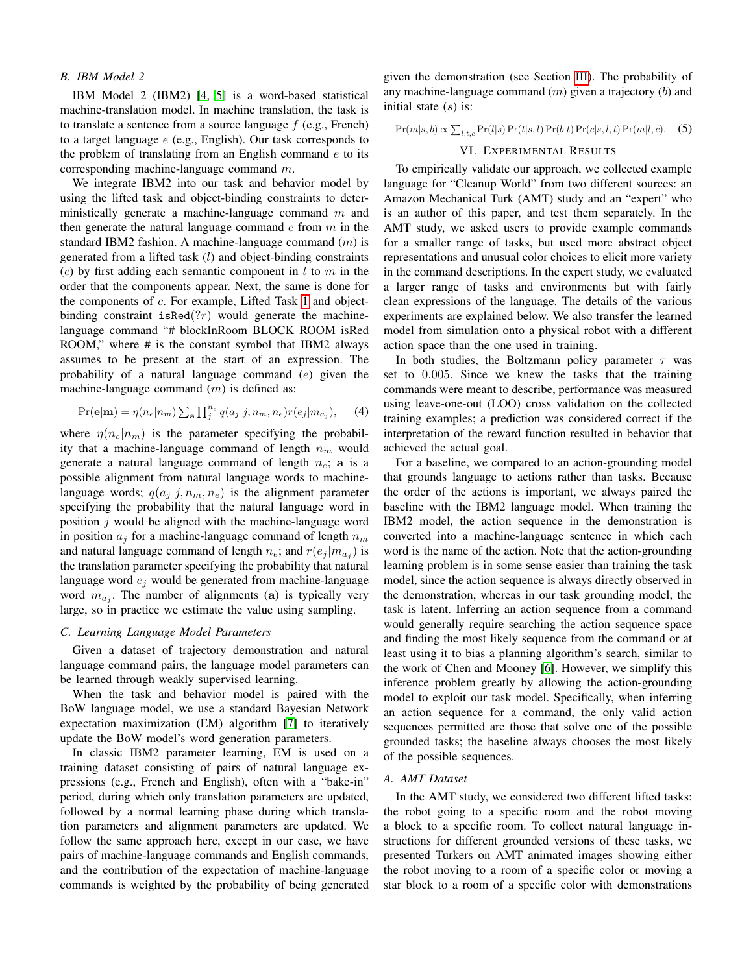#### *B. IBM Model 2*

IBM Model 2 (IBM2) [\[4,](#page-8-8) [5\]](#page-8-9) is a word-based statistical machine-translation model. In machine translation, the task is to translate a sentence from a source language  $f$  (e.g., French) to a target language  $e$  (e.g., English). Our task corresponds to the problem of translating from an English command  $e$  to its corresponding machine-language command m.

We integrate IBM2 into our task and behavior model by using the lifted task and object-binding constraints to deterministically generate a machine-language command  $m$  and then generate the natural language command  $e$  from  $m$  in the standard IBM2 fashion. A machine-language command  $(m)$  is generated from a lifted task (l) and object-binding constraints (c) by first adding each semantic component in  $l$  to  $m$  in the order that the components appear. Next, the same is done for the components of c. For example, Lifted Task [1](#page-2-2) and objectbinding constraint isRed $(?r)$  would generate the machinelanguage command "# blockInRoom BLOCK ROOM isRed ROOM," where # is the constant symbol that IBM2 always assumes to be present at the start of an expression. The probability of a natural language command (e) given the machine-language command  $(m)$  is defined as:

$$
Pr(\mathbf{e}|\mathbf{m}) = \eta(n_e|n_m) \sum_{\mathbf{a}} \prod_{j}^{n_e} q(a_j|j, n_m, n_e) r(e_j|m_{a_j}), \quad (4)
$$

where  $\eta(n_e|n_m)$  is the parameter specifying the probability that a machine-language command of length  $n_m$  would generate a natural language command of length  $n_e$ ; a is a possible alignment from natural language words to machinelanguage words;  $q(a_i | j, n_m, n_e)$  is the alignment parameter specifying the probability that the natural language word in position  $j$  would be aligned with the machine-language word in position  $a_i$  for a machine-language command of length  $n_m$ and natural language command of length  $n_e$ ; and  $r(e_j|m_{a_j})$  is the translation parameter specifying the probability that natural language word  $e_j$  would be generated from machine-language word  $m_{a_j}$ . The number of alignments (a) is typically very large, so in practice we estimate the value using sampling.

#### <span id="page-4-0"></span>*C. Learning Language Model Parameters*

Given a dataset of trajectory demonstration and natural language command pairs, the language model parameters can be learned through weakly supervised learning.

When the task and behavior model is paired with the BoW language model, we use a standard Bayesian Network expectation maximization (EM) algorithm [\[7\]](#page-8-10) to iteratively update the BoW model's word generation parameters.

In classic IBM2 parameter learning, EM is used on a training dataset consisting of pairs of natural language expressions (e.g., French and English), often with a "bake-in" period, during which only translation parameters are updated, followed by a normal learning phase during which translation parameters and alignment parameters are updated. We follow the same approach here, except in our case, we have pairs of machine-language commands and English commands, and the contribution of the expectation of machine-language commands is weighted by the probability of being generated

given the demonstration (see Section [III\)](#page-1-1). The probability of any machine-language command  $(m)$  given a trajectory  $(b)$  and initial state  $(s)$  is:

 $Pr(m|s, b) \propto \sum_{l,t,c} Pr(l|s) Pr(t|s, l) Pr(b|t) Pr(c|s, l, t) Pr(m|l, c).$  (5)

# VI. EXPERIMENTAL RESULTS

To empirically validate our approach, we collected example language for "Cleanup World" from two different sources: an Amazon Mechanical Turk (AMT) study and an "expert" who is an author of this paper, and test them separately. In the AMT study, we asked users to provide example commands for a smaller range of tasks, but used more abstract object representations and unusual color choices to elicit more variety in the command descriptions. In the expert study, we evaluated a larger range of tasks and environments but with fairly clean expressions of the language. The details of the various experiments are explained below. We also transfer the learned model from simulation onto a physical robot with a different action space than the one used in training.

In both studies, the Boltzmann policy parameter  $\tau$  was set to 0.005. Since we knew the tasks that the training commands were meant to describe, performance was measured using leave-one-out (LOO) cross validation on the collected training examples; a prediction was considered correct if the interpretation of the reward function resulted in behavior that achieved the actual goal.

For a baseline, we compared to an action-grounding model that grounds language to actions rather than tasks. Because the order of the actions is important, we always paired the baseline with the IBM2 language model. When training the IBM2 model, the action sequence in the demonstration is converted into a machine-language sentence in which each word is the name of the action. Note that the action-grounding learning problem is in some sense easier than training the task model, since the action sequence is always directly observed in the demonstration, whereas in our task grounding model, the task is latent. Inferring an action sequence from a command would generally require searching the action sequence space and finding the most likely sequence from the command or at least using it to bias a planning algorithm's search, similar to the work of Chen and Mooney [\[6\]](#page-8-4). However, we simplify this inference problem greatly by allowing the action-grounding model to exploit our task model. Specifically, when inferring an action sequence for a command, the only valid action sequences permitted are those that solve one of the possible grounded tasks; the baseline always chooses the most likely of the possible sequences.

## *A. AMT Dataset*

In the AMT study, we considered two different lifted tasks: the robot going to a specific room and the robot moving a block to a specific room. To collect natural language instructions for different grounded versions of these tasks, we presented Turkers on AMT animated images showing either the robot moving to a room of a specific color or moving a star block to a room of a specific color with demonstrations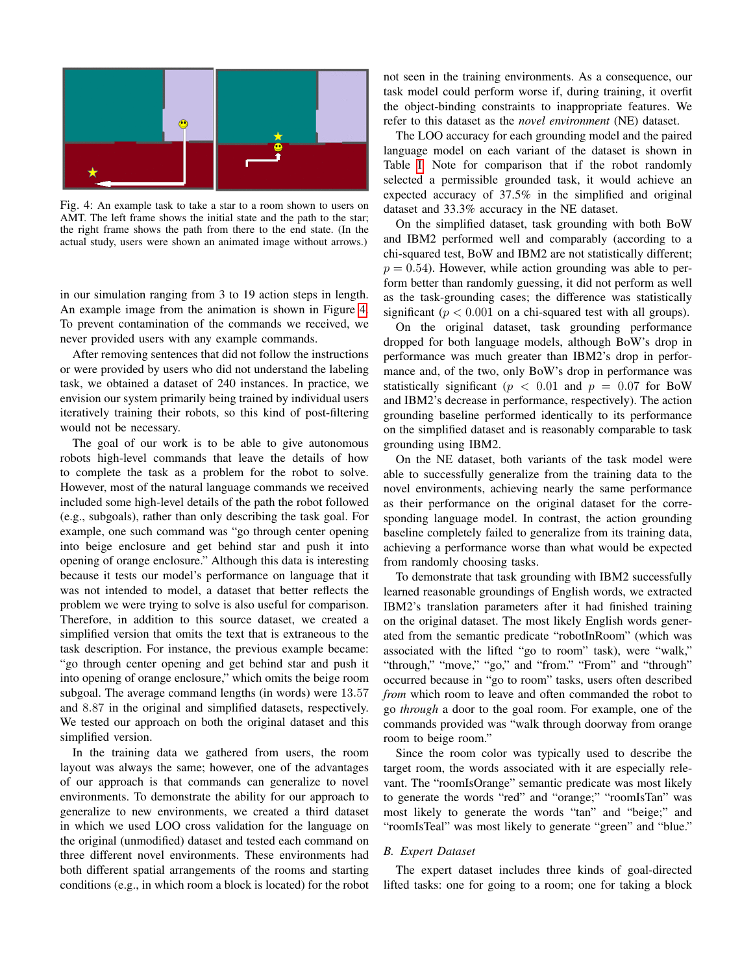<span id="page-5-0"></span>

Fig. 4: An example task to take a star to a room shown to users on AMT. The left frame shows the initial state and the path to the star; the right frame shows the path from there to the end state. (In the actual study, users were shown an animated image without arrows.)

in our simulation ranging from 3 to 19 action steps in length. An example image from the animation is shown in Figure [4.](#page-5-0) To prevent contamination of the commands we received, we never provided users with any example commands.

After removing sentences that did not follow the instructions or were provided by users who did not understand the labeling task, we obtained a dataset of 240 instances. In practice, we envision our system primarily being trained by individual users iteratively training their robots, so this kind of post-filtering would not be necessary.

The goal of our work is to be able to give autonomous robots high-level commands that leave the details of how to complete the task as a problem for the robot to solve. However, most of the natural language commands we received included some high-level details of the path the robot followed (e.g., subgoals), rather than only describing the task goal. For example, one such command was "go through center opening into beige enclosure and get behind star and push it into opening of orange enclosure." Although this data is interesting because it tests our model's performance on language that it was not intended to model, a dataset that better reflects the problem we were trying to solve is also useful for comparison. Therefore, in addition to this source dataset, we created a simplified version that omits the text that is extraneous to the task description. For instance, the previous example became: "go through center opening and get behind star and push it into opening of orange enclosure," which omits the beige room subgoal. The average command lengths (in words) were 13.57 and 8.87 in the original and simplified datasets, respectively. We tested our approach on both the original dataset and this simplified version.

In the training data we gathered from users, the room layout was always the same; however, one of the advantages of our approach is that commands can generalize to novel environments. To demonstrate the ability for our approach to generalize to new environments, we created a third dataset in which we used LOO cross validation for the language on the original (unmodified) dataset and tested each command on three different novel environments. These environments had both different spatial arrangements of the rooms and starting conditions (e.g., in which room a block is located) for the robot not seen in the training environments. As a consequence, our task model could perform worse if, during training, it overfit the object-binding constraints to inappropriate features. We refer to this dataset as the *novel environment* (NE) dataset.

The LOO accuracy for each grounding model and the paired language model on each variant of the dataset is shown in Table [I.](#page-6-0) Note for comparison that if the robot randomly selected a permissible grounded task, it would achieve an expected accuracy of 37.5% in the simplified and original dataset and 33.3% accuracy in the NE dataset.

On the simplified dataset, task grounding with both BoW and IBM2 performed well and comparably (according to a chi-squared test, BoW and IBM2 are not statistically different;  $p = 0.54$ ). However, while action grounding was able to perform better than randomly guessing, it did not perform as well as the task-grounding cases; the difference was statistically significant ( $p < 0.001$  on a chi-squared test with all groups).

On the original dataset, task grounding performance dropped for both language models, although BoW's drop in performance was much greater than IBM2's drop in performance and, of the two, only BoW's drop in performance was statistically significant ( $p < 0.01$  and  $p = 0.07$  for BoW and IBM2's decrease in performance, respectively). The action grounding baseline performed identically to its performance on the simplified dataset and is reasonably comparable to task grounding using IBM2.

On the NE dataset, both variants of the task model were able to successfully generalize from the training data to the novel environments, achieving nearly the same performance as their performance on the original dataset for the corresponding language model. In contrast, the action grounding baseline completely failed to generalize from its training data, achieving a performance worse than what would be expected from randomly choosing tasks.

To demonstrate that task grounding with IBM2 successfully learned reasonable groundings of English words, we extracted IBM2's translation parameters after it had finished training on the original dataset. The most likely English words generated from the semantic predicate "robotInRoom" (which was associated with the lifted "go to room" task), were "walk," "through," "move," "go," and "from." "From" and "through" occurred because in "go to room" tasks, users often described *from* which room to leave and often commanded the robot to go *through* a door to the goal room. For example, one of the commands provided was "walk through doorway from orange room to beige room."

Since the room color was typically used to describe the target room, the words associated with it are especially relevant. The "roomIsOrange" semantic predicate was most likely to generate the words "red" and "orange;" "roomIsTan" was most likely to generate the words "tan" and "beige;" and "roomIsTeal" was most likely to generate "green" and "blue."

## *B. Expert Dataset*

The expert dataset includes three kinds of goal-directed lifted tasks: one for going to a room; one for taking a block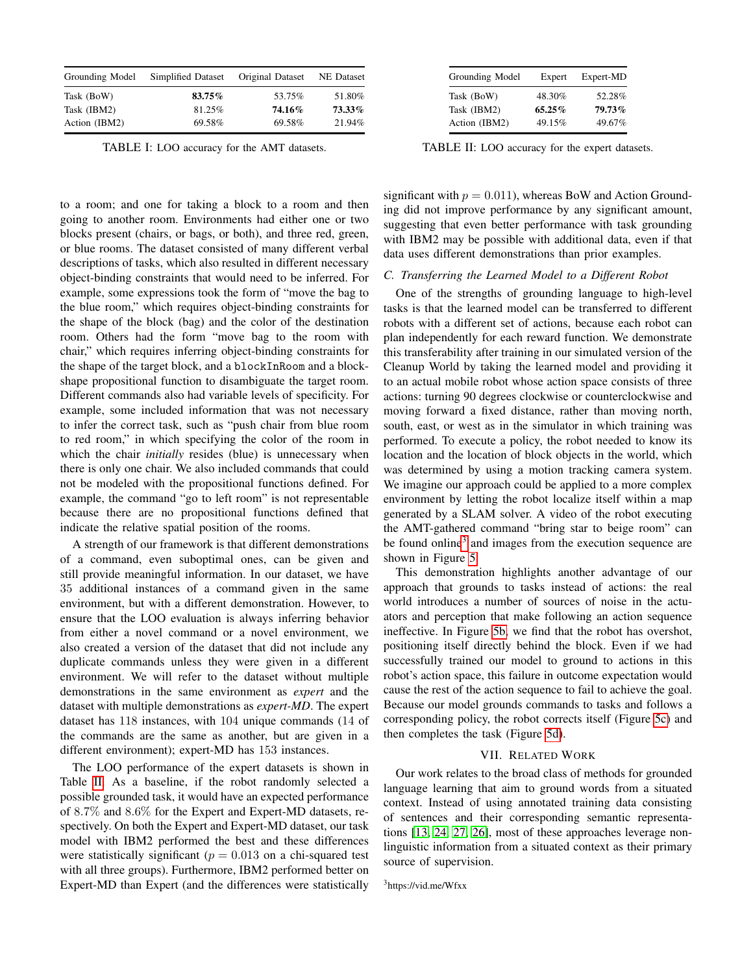<span id="page-6-0"></span>

| Grounding Model | Simplified Dataset | Original Dataset | <b>NE</b> Dataset |
|-----------------|--------------------|------------------|-------------------|
| Task (BoW)      | 83.75%             | 53.75%           | 51.80%            |
| Task (IBM2)     | 81.25%             | 74.16%           | 73.33%            |
| Action (IBM2)   | 69.58%             | 69.58%           | 21.94%            |

TABLE I: LOO accuracy for the AMT datasets.

to a room; and one for taking a block to a room and then going to another room. Environments had either one or two blocks present (chairs, or bags, or both), and three red, green, or blue rooms. The dataset consisted of many different verbal descriptions of tasks, which also resulted in different necessary object-binding constraints that would need to be inferred. For example, some expressions took the form of "move the bag to the blue room," which requires object-binding constraints for the shape of the block (bag) and the color of the destination room. Others had the form "move bag to the room with chair," which requires inferring object-binding constraints for the shape of the target block, and a blockInRoom and a blockshape propositional function to disambiguate the target room. Different commands also had variable levels of specificity. For example, some included information that was not necessary to infer the correct task, such as "push chair from blue room to red room," in which specifying the color of the room in which the chair *initially* resides (blue) is unnecessary when there is only one chair. We also included commands that could not be modeled with the propositional functions defined. For example, the command "go to left room" is not representable because there are no propositional functions defined that indicate the relative spatial position of the rooms.

A strength of our framework is that different demonstrations of a command, even suboptimal ones, can be given and still provide meaningful information. In our dataset, we have 35 additional instances of a command given in the same environment, but with a different demonstration. However, to ensure that the LOO evaluation is always inferring behavior from either a novel command or a novel environment, we also created a version of the dataset that did not include any duplicate commands unless they were given in a different environment. We will refer to the dataset without multiple demonstrations in the same environment as *expert* and the dataset with multiple demonstrations as *expert-MD*. The expert dataset has 118 instances, with 104 unique commands (14 of the commands are the same as another, but are given in a different environment); expert-MD has 153 instances.

The LOO performance of the expert datasets is shown in Table [II.](#page-6-1) As a baseline, if the robot randomly selected a possible grounded task, it would have an expected performance of 8.7% and 8.6% for the Expert and Expert-MD datasets, respectively. On both the Expert and Expert-MD dataset, our task model with IBM2 performed the best and these differences were statistically significant ( $p = 0.013$  on a chi-squared test with all three groups). Furthermore, IBM2 performed better on Expert-MD than Expert (and the differences were statistically

<span id="page-6-1"></span>

| Grounding Model | Expert    | Expert-MD |
|-----------------|-----------|-----------|
| Task (BoW)      | 48.30%    | 52.28%    |
| Task (IBM2)     | $65.25\%$ | 79.73%    |
| Action (IBM2)   | 49.15%    | 49.67%    |

TABLE II: LOO accuracy for the expert datasets.

significant with  $p = 0.011$ ), whereas BoW and Action Grounding did not improve performance by any significant amount, suggesting that even better performance with task grounding with IBM2 may be possible with additional data, even if that data uses different demonstrations than prior examples.

## *C. Transferring the Learned Model to a Different Robot*

One of the strengths of grounding language to high-level tasks is that the learned model can be transferred to different robots with a different set of actions, because each robot can plan independently for each reward function. We demonstrate this transferability after training in our simulated version of the Cleanup World by taking the learned model and providing it to an actual mobile robot whose action space consists of three actions: turning 90 degrees clockwise or counterclockwise and moving forward a fixed distance, rather than moving north, south, east, or west as in the simulator in which training was performed. To execute a policy, the robot needed to know its location and the location of block objects in the world, which was determined by using a motion tracking camera system. We imagine our approach could be applied to a more complex environment by letting the robot localize itself within a map generated by a SLAM solver. A video of the robot executing the AMT-gathered command "bring star to beige room" can be found online<sup>[3](#page-0-0)</sup> and images from the execution sequence are shown in Figure [5.](#page-7-1)

This demonstration highlights another advantage of our approach that grounds to tasks instead of actions: the real world introduces a number of sources of noise in the actuators and perception that make following an action sequence ineffective. In Figure [5b,](#page-7-1) we find that the robot has overshot, positioning itself directly behind the block. Even if we had successfully trained our model to ground to actions in this robot's action space, this failure in outcome expectation would cause the rest of the action sequence to fail to achieve the goal. Because our model grounds commands to tasks and follows a corresponding policy, the robot corrects itself (Figure [5c\)](#page-7-1) and then completes the task (Figure [5d\)](#page-7-1).

#### VII. RELATED WORK

Our work relates to the broad class of methods for grounded language learning that aim to ground words from a situated context. Instead of using annotated training data consisting of sentences and their corresponding semantic representations [\[13,](#page-8-12) [24,](#page-8-13) [27,](#page-9-0) [26\]](#page-9-1), most of these approaches leverage nonlinguistic information from a situated context as their primary source of supervision.

<sup>3</sup>https://vid.me/Wfxx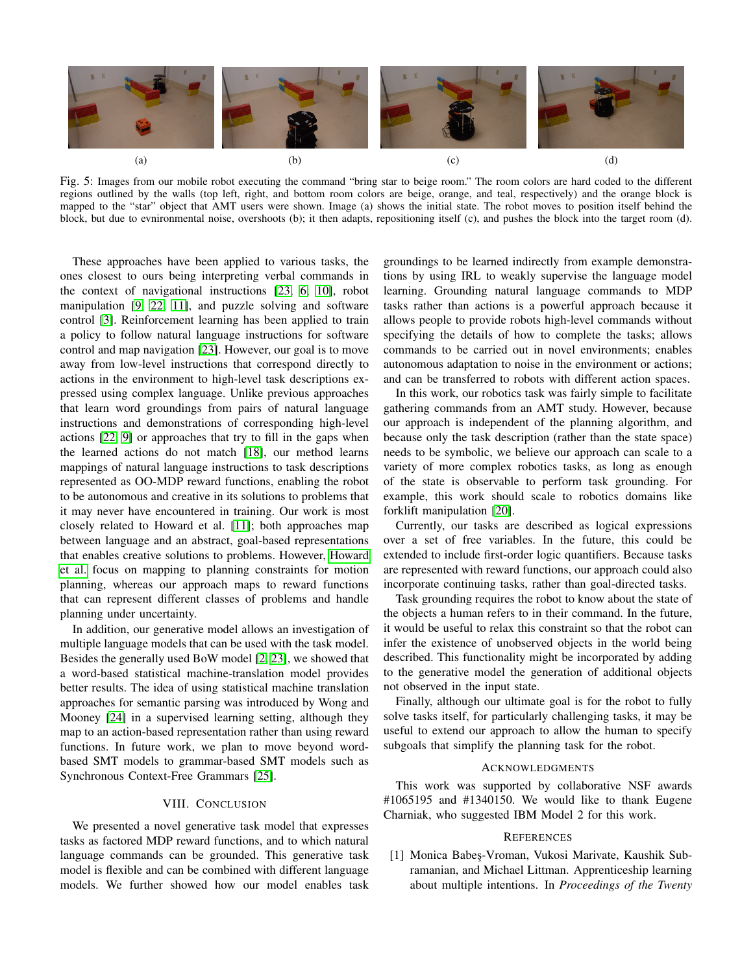<span id="page-7-1"></span>

Fig. 5: Images from our mobile robot executing the command "bring star to beige room." The room colors are hard coded to the different regions outlined by the walls (top left, right, and bottom room colors are beige, orange, and teal, respectively) and the orange block is mapped to the "star" object that AMT users were shown. Image (a) shows the initial state. The robot moves to position itself behind the block, but due to evnironmental noise, overshoots (b); it then adapts, repositioning itself (c), and pushes the block into the target room (d).

These approaches have been applied to various tasks, the ones closest to ours being interpreting verbal commands in the context of navigational instructions [\[23,](#page-8-14) [6,](#page-8-4) [10\]](#page-8-15), robot manipulation [\[9,](#page-8-16) [22,](#page-8-17) [11\]](#page-8-18), and puzzle solving and software control [\[3\]](#page-8-19). Reinforcement learning has been applied to train a policy to follow natural language instructions for software control and map navigation [\[23\]](#page-8-14). However, our goal is to move away from low-level instructions that correspond directly to actions in the environment to high-level task descriptions expressed using complex language. Unlike previous approaches that learn word groundings from pairs of natural language instructions and demonstrations of corresponding high-level actions [\[22,](#page-8-17) [9\]](#page-8-16) or approaches that try to fill in the gaps when the learned actions do not match [\[18\]](#page-8-20), our method learns mappings of natural language instructions to task descriptions represented as OO-MDP reward functions, enabling the robot to be autonomous and creative in its solutions to problems that it may never have encountered in training. Our work is most closely related to Howard et al. [\[11\]](#page-8-18); both approaches map between language and an abstract, goal-based representations that enables creative solutions to problems. However, [Howard](#page-8-18) [et al.](#page-8-18) focus on mapping to planning constraints for motion planning, whereas our approach maps to reward functions that can represent different classes of problems and handle planning under uncertainty.

In addition, our generative model allows an investigation of multiple language models that can be used with the task model. Besides the generally used BoW model [\[2,](#page-8-21) [23\]](#page-8-14), we showed that a word-based statistical machine-translation model provides better results. The idea of using statistical machine translation approaches for semantic parsing was introduced by Wong and Mooney [\[24\]](#page-8-13) in a supervised learning setting, although they map to an action-based representation rather than using reward functions. In future work, we plan to move beyond wordbased SMT models to grammar-based SMT models such as Synchronous Context-Free Grammars [\[25\]](#page-9-2).

## VIII. CONCLUSION

We presented a novel generative task model that expresses tasks as factored MDP reward functions, and to which natural language commands can be grounded. This generative task model is flexible and can be combined with different language models. We further showed how our model enables task groundings to be learned indirectly from example demonstrations by using IRL to weakly supervise the language model learning. Grounding natural language commands to MDP tasks rather than actions is a powerful approach because it allows people to provide robots high-level commands without specifying the details of how to complete the tasks; allows commands to be carried out in novel environments; enables autonomous adaptation to noise in the environment or actions; and can be transferred to robots with different action spaces.

In this work, our robotics task was fairly simple to facilitate gathering commands from an AMT study. However, because our approach is independent of the planning algorithm, and because only the task description (rather than the state space) needs to be symbolic, we believe our approach can scale to a variety of more complex robotics tasks, as long as enough of the state is observable to perform task grounding. For example, this work should scale to robotics domains like forklift manipulation [\[20\]](#page-8-22).

Currently, our tasks are described as logical expressions over a set of free variables. In the future, this could be extended to include first-order logic quantifiers. Because tasks are represented with reward functions, our approach could also incorporate continuing tasks, rather than goal-directed tasks.

Task grounding requires the robot to know about the state of the objects a human refers to in their command. In the future, it would be useful to relax this constraint so that the robot can infer the existence of unobserved objects in the world being described. This functionality might be incorporated by adding to the generative model the generation of additional objects not observed in the input state.

Finally, although our ultimate goal is for the robot to fully solve tasks itself, for particularly challenging tasks, it may be useful to extend our approach to allow the human to specify subgoals that simplify the planning task for the robot.

#### ACKNOWLEDGMENTS

This work was supported by collaborative NSF awards #1065195 and #1340150. We would like to thank Eugene Charniak, who suggested IBM Model 2 for this work.

## **REFERENCES**

<span id="page-7-0"></span>[1] Monica Babes-Vroman, Vukosi Marivate, Kaushik Subramanian, and Michael Littman. Apprenticeship learning about multiple intentions. In *Proceedings of the Twenty*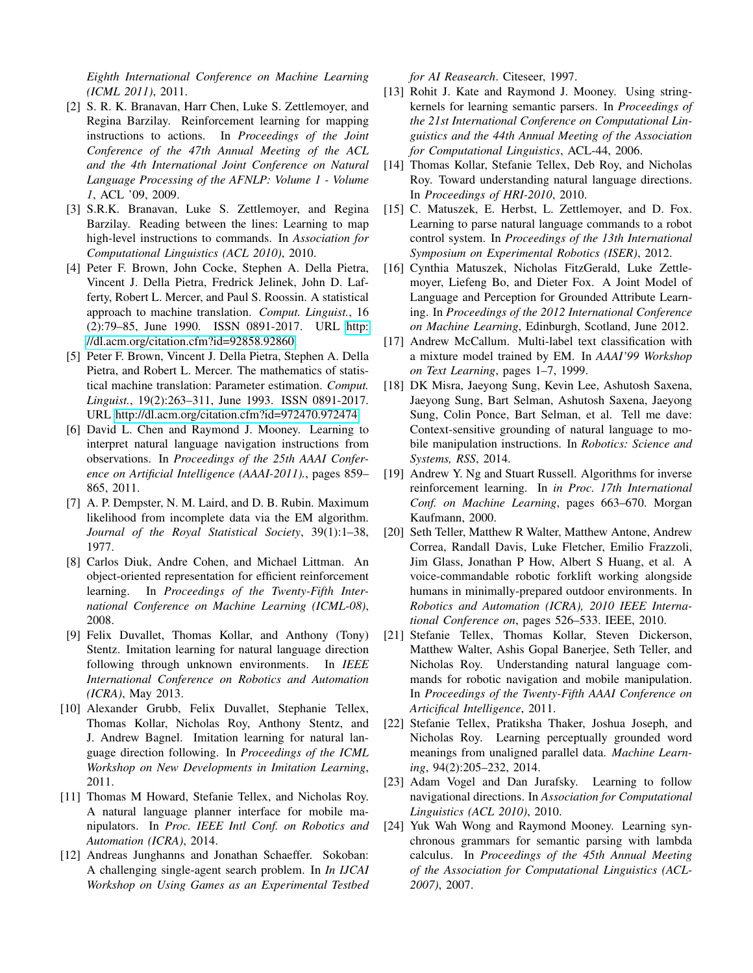*Eighth International Conference on Machine Learning (ICML 2011)*, 2011.

- <span id="page-8-21"></span>[2] S. R. K. Branavan, Harr Chen, Luke S. Zettlemoyer, and Regina Barzilay. Reinforcement learning for mapping instructions to actions. In *Proceedings of the Joint Conference of the 47th Annual Meeting of the ACL and the 4th International Joint Conference on Natural Language Processing of the AFNLP: Volume 1 - Volume 1*, ACL '09, 2009.
- <span id="page-8-19"></span>[3] S.R.K. Branavan, Luke S. Zettlemoyer, and Regina Barzilay. Reading between the lines: Learning to map high-level instructions to commands. In *Association for Computational Linguistics (ACL 2010)*, 2010.
- <span id="page-8-8"></span>[4] Peter F. Brown, John Cocke, Stephen A. Della Pietra, Vincent J. Della Pietra, Fredrick Jelinek, John D. Lafferty, Robert L. Mercer, and Paul S. Roossin. A statistical approach to machine translation. *Comput. Linguist.*, 16 (2):79–85, June 1990. ISSN 0891-2017. URL [http:](http://dl.acm.org/citation.cfm?id=92858.92860) [//dl.acm.org/citation.cfm?id=92858.92860.](http://dl.acm.org/citation.cfm?id=92858.92860)
- <span id="page-8-9"></span>[5] Peter F. Brown, Vincent J. Della Pietra, Stephen A. Della Pietra, and Robert L. Mercer. The mathematics of statistical machine translation: Parameter estimation. *Comput. Linguist.*, 19(2):263–311, June 1993. ISSN 0891-2017. URL [http://dl.acm.org/citation.cfm?id=972470.972474.](http://dl.acm.org/citation.cfm?id=972470.972474)
- <span id="page-8-4"></span>[6] David L. Chen and Raymond J. Mooney. Learning to interpret natural language navigation instructions from observations. In *Proceedings of the 25th AAAI Conference on Artificial Intelligence (AAAI-2011).*, pages 859– 865, 2011.
- <span id="page-8-10"></span>[7] A. P. Dempster, N. M. Laird, and D. B. Rubin. Maximum likelihood from incomplete data via the EM algorithm. *Journal of the Royal Statistical Society*, 39(1):1–38, 1977.
- <span id="page-8-6"></span>[8] Carlos Diuk, Andre Cohen, and Michael Littman. An object-oriented representation for efficient reinforcement learning. In *Proceedings of the Twenty-Fifth International Conference on Machine Learning (ICML-08)*, 2008.
- <span id="page-8-16"></span>[9] Felix Duvallet, Thomas Kollar, and Anthony (Tony) Stentz. Imitation learning for natural language direction following through unknown environments. In *IEEE International Conference on Robotics and Automation (ICRA)*, May 2013.
- <span id="page-8-15"></span>[10] Alexander Grubb, Felix Duvallet, Stephanie Tellex, Thomas Kollar, Nicholas Roy, Anthony Stentz, and J. Andrew Bagnel. Imitation learning for natural language direction following. In *Proceedings of the ICML Workshop on New Developments in Imitation Learning*, 2011.
- <span id="page-8-18"></span>[11] Thomas M Howard, Stefanie Tellex, and Nicholas Roy. A natural language planner interface for mobile manipulators. In *Proc. IEEE Intl Conf. on Robotics and Automation (ICRA)*, 2014.
- <span id="page-8-7"></span>[12] Andreas Junghanns and Jonathan Schaeffer. Sokoban: A challenging single-agent search problem. In *In IJCAI Workshop on Using Games as an Experimental Testbed*

*for AI Reasearch*. Citeseer, 1997.

- <span id="page-8-12"></span>[13] Rohit J. Kate and Raymond J. Mooney. Using stringkernels for learning semantic parsers. In *Proceedings of the 21st International Conference on Computational Linguistics and the 44th Annual Meeting of the Association for Computational Linguistics*, ACL-44, 2006.
- <span id="page-8-0"></span>[14] Thomas Kollar, Stefanie Tellex, Deb Roy, and Nicholas Roy. Toward understanding natural language directions. In *Proceedings of HRI-2010*, 2010.
- <span id="page-8-3"></span>[15] C. Matuszek, E. Herbst, L. Zettlemoyer, and D. Fox. Learning to parse natural language commands to a robot control system. In *Proceedings of the 13th International Symposium on Experimental Robotics (ISER)*, 2012.
- <span id="page-8-2"></span>[16] Cynthia Matuszek, Nicholas FitzGerald, Luke Zettlemoyer, Liefeng Bo, and Dieter Fox. A Joint Model of Language and Perception for Grounded Attribute Learning. In *Proceedings of the 2012 International Conference on Machine Learning*, Edinburgh, Scotland, June 2012.
- <span id="page-8-11"></span>[17] Andrew McCallum. Multi-label text classification with a mixture model trained by EM. In *AAAI'99 Workshop on Text Learning*, pages 1–7, 1999.
- <span id="page-8-20"></span>[18] DK Misra, Jaeyong Sung, Kevin Lee, Ashutosh Saxena, Jaeyong Sung, Bart Selman, Ashutosh Saxena, Jaeyong Sung, Colin Ponce, Bart Selman, et al. Tell me dave: Context-sensitive grounding of natural language to mobile manipulation instructions. In *Robotics: Science and Systems, RSS*, 2014.
- <span id="page-8-5"></span>[19] Andrew Y. Ng and Stuart Russell. Algorithms for inverse reinforcement learning. In *in Proc. 17th International Conf. on Machine Learning*, pages 663–670. Morgan Kaufmann, 2000.
- <span id="page-8-22"></span>[20] Seth Teller, Matthew R Walter, Matthew Antone, Andrew Correa, Randall Davis, Luke Fletcher, Emilio Frazzoli, Jim Glass, Jonathan P How, Albert S Huang, et al. A voice-commandable robotic forklift working alongside humans in minimally-prepared outdoor environments. In *Robotics and Automation (ICRA), 2010 IEEE International Conference on*, pages 526–533. IEEE, 2010.
- <span id="page-8-1"></span>[21] Stefanie Tellex, Thomas Kollar, Steven Dickerson, Matthew Walter, Ashis Gopal Banerjee, Seth Teller, and Nicholas Roy. Understanding natural language commands for robotic navigation and mobile manipulation. In *Proceedings of the Twenty-Fifth AAAI Conference on Articifical Intelligence*, 2011.
- <span id="page-8-17"></span>[22] Stefanie Tellex, Pratiksha Thaker, Joshua Joseph, and Nicholas Roy. Learning perceptually grounded word meanings from unaligned parallel data. *Machine Learning*, 94(2):205–232, 2014.
- <span id="page-8-14"></span>[23] Adam Vogel and Dan Jurafsky. Learning to follow navigational directions. In *Association for Computational Linguistics (ACL 2010)*, 2010.
- <span id="page-8-13"></span>[24] Yuk Wah Wong and Raymond Mooney. Learning synchronous grammars for semantic parsing with lambda calculus. In *Proceedings of the 45th Annual Meeting of the Association for Computational Linguistics (ACL-2007)*, 2007.